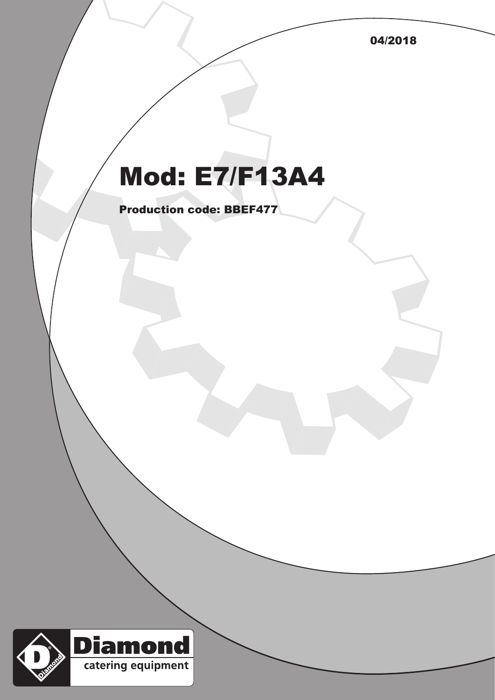04/2018

## Mod: E7/F13A4

Production code: BBEF477